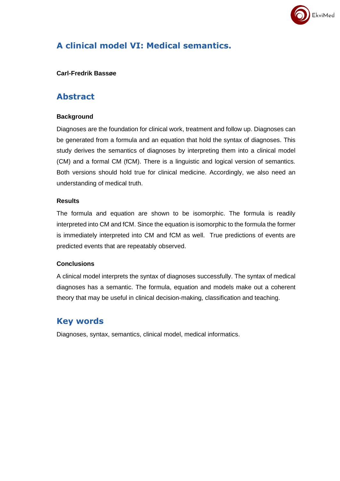

# **A clinical model VI: Medical semantics.**

### **Carl-Fredrik Bassøe**

# **Abstract**

# **Background**

Diagnoses are the foundation for clinical work, treatment and follow up. Diagnoses can be generated from a formula and an equation that hold the syntax of diagnoses. This study derives the semantics of diagnoses by interpreting them into a clinical model (CM) and a formal CM (fCM). There is a linguistic and logical version of semantics. Both versions should hold true for clinical medicine. Accordingly, we also need an understanding of medical truth.

## **Results**

The formula and equation are shown to be isomorphic. The formula is readily interpreted into CM and fCM. Since the equation is isomorphic to the formula the former is immediately interpreted into CM and fCM as well. True predictions of events are predicted events that are repeatably observed.

### **Conclusions**

A clinical model interprets the syntax of diagnoses successfully. The syntax of medical diagnoses has a semantic. The formula, equation and models make out a coherent theory that may be useful in clinical decision-making, classification and teaching.

# **Key words**

Diagnoses, syntax, semantics, clinical model, medical informatics.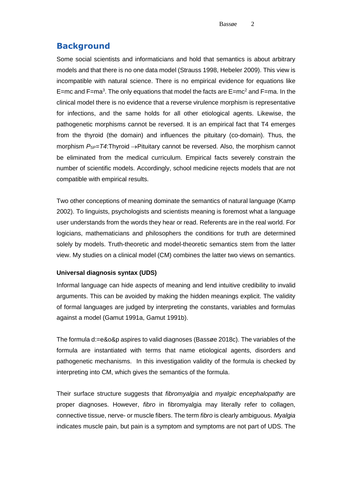# **Background**

Some social scientists and informaticians and hold that semantics is about arbitrary models and that there is no one data model (Strauss 1998, Hebeler 2009). This view is incompatible with natural science. There is no empirical evidence for equations like E=mc and F=ma<sup>3</sup>. The only equations that model the facts are E=mc<sup>2</sup> and F=ma. In the clinical model there is no evidence that a reverse virulence morphism is representative for infections, and the same holds for all other etiological agents. Likewise, the pathogenetic morphisms cannot be reversed. It is an empirical fact that T4 emerges from the thyroid (the domain) and influences the pituitary (co-domain). Thus, the morphism  $P_{SP} = T4$ :Thyroid  $\rightarrow$ Pituitary cannot be reversed. Also, the morphism cannot be eliminated from the medical curriculum. Empirical facts severely constrain the number of scientific models. Accordingly, school medicine rejects models that are not compatible with empirical results.

Two other conceptions of meaning dominate the semantics of natural language (Kamp 2002). To linguists, psychologists and scientists meaning is foremost what a language user understands from the words they hear or read. Referents are in the real world. For logicians, mathematicians and philosophers the conditions for truth are determined solely by models. Truth-theoretic and model-theoretic semantics stem from the latter view. My studies on a clinical model (CM) combines the latter two views on semantics.

### **Universal diagnosis syntax (UDS)**

Informal language can hide aspects of meaning and lend intuitive credibility to invalid arguments. This can be avoided by making the hidden meanings explicit. The validity of formal languages are judged by interpreting the constants, variables and formulas against a model (Gamut 1991a, Gamut 1991b).

The formula d:=e&o&p aspires to valid diagnoses (Bassøe 2018c). The variables of the formula are instantiated with terms that name etiological agents, disorders and pathogenetic mechanisms. In this investigation validity of the formula is checked by interpreting into CM, which gives the semantics of the formula.

Their surface structure suggests that *fibromyalgia* and *myalgic encephalopathy* are proper diagnoses. However, *fibro* in fibromyalgia may literally refer to collagen, connective tissue, nerve- or muscle fibers. The term *fibro* is clearly ambiguous. *Myalgia* indicates muscle pain, but pain is a symptom and symptoms are not part of UDS. The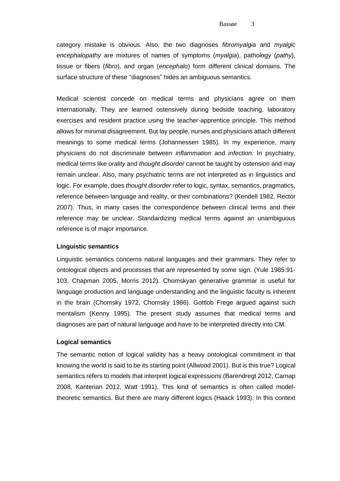category mistake is obvious. Also, the two diagnoses *fibromyalgia* and *myalgic encephalopathy* are mixtures of names of symptoms (*myalgia*), pathology (*pathy*), tissue or fibers (*fibro*), and organ (*encephalo*) form different clinical domains. The surface structure of these "diagnoses" hides an ambiguous semantics.

Medical scientist concede on medical terms and physicians agree on them internationally. They are learned ostensively during bedside teaching, laboratory exercises and resident practice using the teacher-apprentice principle. This method allows for minimal disagreement. But lay people, nurses and physicians attach different meanings to some medical terms (Johannessen 1985). In my experience, many physicians do not discriminate between *inflammation* and *infection*. In psychiatry, medical terms like *orality* and *thought disorder* cannot be taught by ostension and may remain unclear. Also, many psychiatric terms are not interpreted as in linguistics and logic. For example, does *thought disorder* refer to logic, syntax, semantics, pragmatics, reference between language and reality, or their combinations? (Kendell 1982, Rector 2007). Thus, in many cases the correspondence between clinical terms and their reference may be unclear. Standardizing medical terms against an unambiguous reference is of major importance.

#### **Linguistic semantics**

Linguistic semantics concerns natural languages and their grammars. They refer to ontological objects and processes that are represented by some sign. (Yule 1985:91- 103, Chapman 2005, Morris 2012). Chomskyan generative grammar is useful for language production and language understanding and the linguistic faculty is inherent in the brain (Chomsky 1972, Chomsky 1986). Gottlob Frege argued against such mentalism (Kenny 1995). The present study assumes that medical terms and diagnoses are part of natural language and have to be interpreted directly into CM.

#### **Logical semantics**

The semantic notion of logical validity has a heavy ontological commitment in that knowing the world is said to be its starting point (Allwood 2001). But is this true? Logical semantics refers to models that interpret logical expressions (Barendregt 2012, Carnap 2008, Kanterian 2012, Watt 1991). This kind of semantics is often called modeltheoretic semantics. But there are many different logics (Haack 1993). In this context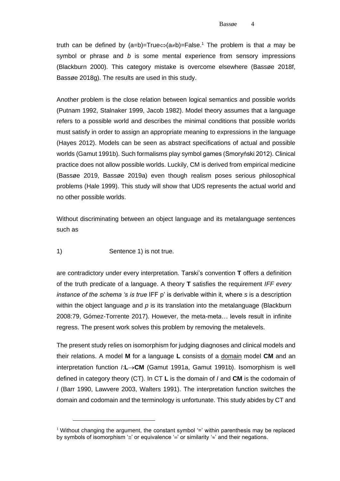truth can be defined by  $(a=b)=True \Leftrightarrow (a \neq b)=False$ .<sup>1</sup> The problem is that *a* may be symbol or phrase and *b* is some mental experience from sensory impressions (Blackburn 2000). This category mistake is overcome elsewhere (Bassøe 2018f, Bassøe 2018g). The results are used in this study.

Another problem is the close relation between logical semantics and possible worlds (Putnam 1992, Stalnaker 1999, Jacob 1982). Model theory assumes that a language refers to a possible world and describes the minimal conditions that possible worlds must satisfy in order to assign an appropriate meaning to expressions in the language (Hayes 2012). Models can be seen as abstract specifications of actual and possible worlds (Gamut 1991b). Such formalisms play symbol games (Smoryński 2012). Clinical practice does not allow possible worlds. Luckily, CM is derived from empirical medicine (Bassøe 2019, Bassøe 2019a) even though realism poses serious philosophical problems (Hale 1999). This study will show that UDS represents the actual world and no other possible worlds.

Without discriminating between an object language and its metalanguage sentences such as

#### 1) Sentence 1) is not true.

are contradictory under every interpretation. Tarski's convention **T** offers a definition of the truth predicate of a language. A theory **T** satisfies the requirement *IFF every instance of the schema 's is true* IFF p' is derivable within it, where *s* is a description within the object language and *p* is its translation into the metalanguage (Blackburn 2008:79, Gómez-Torrente 2017). However, the meta-meta… levels result in infinite regress. The present work solves this problem by removing the metalevels.

The present study relies on isomorphism for judging diagnoses and clinical models and their relations. A model **M** for a language **L** consists of a domain model **CM** and an interpretation function *I*:**L**→**CM** (Gamut 1991a, Gamut 1991b). Isomorphism is well defined in category theory (CT). In CT **L** is the domain of *I* and **CM** is the codomain of *I* (Barr 1990, Lawvere 2003, Walters 1991). The interpretation function switches the domain and codomain and the terminology is unfortunate. This study abides by CT and

<sup>&</sup>lt;sup>1</sup> Without changing the argument, the constant symbol  $\equiv$  within parenthesis may be replaced by symbols of isomorphism ' $\leq$ ' or equivalence ' $\equiv$ ' or similarity ' $\approx$ ' and their negations.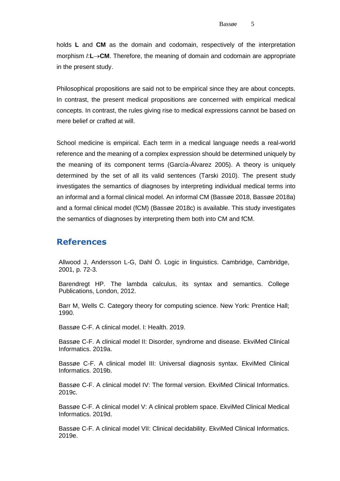holds **L** and **CM** as the domain and codomain, respectively of the interpretation morphism *I*:**L**→**CM**. Therefore, the meaning of domain and codomain are appropriate in the present study.

Philosophical propositions are said not to be empirical since they are about concepts. In contrast, the present medical propositions are concerned with empirical medical concepts. In contrast, the rules giving rise to medical expressions cannot be based on mere belief or crafted at will.

School medicine is empirical. Each term in a medical language needs a real-world reference and the meaning of a complex expression should be determined uniquely by the meaning of its component terms (García-Álvarez 2005). A theory is uniquely determined by the set of all its valid sentences (Tarski 2010). The present study investigates the semantics of diagnoses by interpreting individual medical terms into an informal and a formal clinical model. An informal CM (Bassøe 2018, Bassøe 2018a) and a formal clinical model (fCM) (Bassøe 2018c) is available. This study investigates the semantics of diagnoses by interpreting them both into CM and fCM.

# **References**

Allwood J, Andersson L-G, Dahl Ö. Logic in linguistics. Cambridge, Cambridge, 2001, p. 72-3.

Barendregt HP. The lambda calculus, its syntax and semantics. College Publications, London, 2012.

Barr M, Wells C. Category theory for computing science. New York: Prentice Hall; 1990.

Bassøe C-F. A clinical model. I: Health. 2019.

Bassøe C-F. A clinical model II: Disorder, syndrome and disease. EkviMed Clinical Informatics. 2019a.

Bassøe C-F. A clinical model III: Universal diagnosis syntax. EkviMed Clinical Informatics. 2019b.

Bassøe C-F. A clinical model IV: The formal version. EkviMed Clinical Informatics. 2019c.

Bassøe C-F. A clinical model V: A clinical problem space. EkviMed Clinical Medical Informatics. 2019d.

Bassøe C-F. A clinical model VII: Clinical decidability. EkviMed Clinical Informatics. 2019e.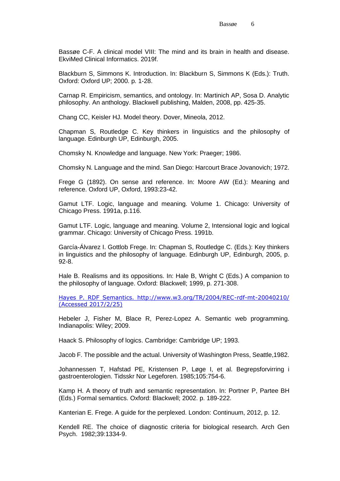Bassøe C-F. A clinical model VIII: The mind and its brain in health and disease. EkviMed Clinical Informatics. 2019f.

Blackburn S, Simmons K. Introduction. In: Blackburn S, Simmons K (Eds.): Truth. Oxford: Oxford UP; 2000. p. 1-28.

Carnap R. Empiricism, semantics, and ontology. In: Martinich AP, Sosa D. Analytic philosophy. An anthology. Blackwell publishing, Malden, 2008, pp. 425-35.

Chang CC, Keisler HJ. Model theory. Dover, Mineola, 2012.

Chapman S, Routledge C. Key thinkers in linguistics and the philosophy of language. Edinburgh UP, Edinburgh, 2005.

Chomsky N. Knowledge and language. New York: Praeger; 1986.

Chomsky N. Language and the mind. San Diego: Harcourt Brace Jovanovich; 1972.

Frege G (1892). On sense and reference. In: Moore AW (Ed.): Meaning and reference. Oxford UP, Oxford, 1993:23-42.

Gamut LTF. Logic, language and meaning. Volume 1. Chicago: University of Chicago Press. 1991a, p.116.

Gamut LTF. Logic, language and meaning. Volume 2, Intensional logic and logical grammar. Chicago: University of Chicago Press. 1991b.

García-Álvarez I. Gottlob Frege. In: Chapman S, Routledge C. (Eds.): Key thinkers in linguistics and the philosophy of language. Edinburgh UP, Edinburgh, 2005, p. 92-8.

Hale B. Realisms and its oppositions. In: Hale B, Wright C (Eds.) A companion to the philosophy of language. Oxford: Blackwell; 1999, p. 271-308.

[Hayes P. RDF Semantics. http://www.w3.org/TR/2004/REC-rdf-mt-20040210/](file:///D:/ARTIKLER/COMBINATORICS/LINGUISTICS/Hayes%20P.%20RDF%20Semantics.%20http:/www.w3.org/TR/2004/REC-rdf-mt-20040210/%20(Accessed%202017/2/25))  [\(Accessed 2017/2/25\)](file:///D:/ARTIKLER/COMBINATORICS/LINGUISTICS/Hayes%20P.%20RDF%20Semantics.%20http:/www.w3.org/TR/2004/REC-rdf-mt-20040210/%20(Accessed%202017/2/25))

Hebeler J, Fisher M, Blace R, Perez-Lopez A. Semantic web programming. Indianapolis: Wiley; 2009.

Haack S. Philosophy of logics. Cambridge: Cambridge UP; 1993.

Jacob F. The possible and the actual. University of Washington Press, Seattle,1982.

Johannessen T, Hafstad PE, Kristensen P, Løge I, et al. Begrepsforvirring i gastroenterologien. Tidsskr Nor Legeforen. 1985;105:754-6.

Kamp H. A theory of truth and semantic representation. In: Portner P, Partee BH (Eds.) Formal semantics. Oxford: Blackwell; 2002. p. 189-222.

Kanterian E. Frege. A guide for the perplexed. London: Continuum, 2012, p. 12.

Kendell RE. The choice of diagnostic criteria for biological research. Arch Gen Psych. 1982;39:1334-9.